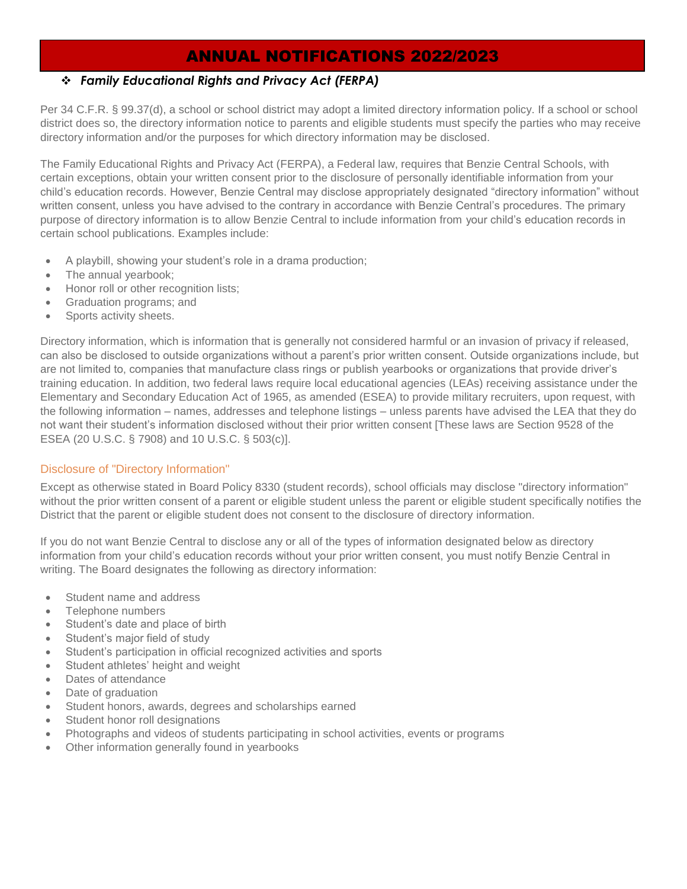# ANNUAL NOTIFICATIONS 2022/2023

#### ❖ *Family Educational Rights and Privacy Act (FERPA)*

Per 34 C.F.R. § 99.37(d), a school or school district may adopt a limited directory information policy. If a school or school district does so, the directory information notice to parents and eligible students must specify the parties who may receive directory information and/or the purposes for which directory information may be disclosed.

The Family Educational Rights and Privacy Act (FERPA), a Federal law, requires that Benzie Central Schools, with certain exceptions, obtain your written consent prior to the disclosure of personally identifiable information from your child's education records. However, Benzie Central may disclose appropriately designated "directory information" without written consent, unless you have advised to the contrary in accordance with Benzie Central's procedures. The primary purpose of directory information is to allow Benzie Central to include information from your child's education records in certain school publications. Examples include:

- A playbill, showing your student's role in a drama production;
- The annual yearbook;
- Honor roll or other recognition lists;
- Graduation programs; and
- Sports activity sheets.

Directory information, which is information that is generally not considered harmful or an invasion of privacy if released, can also be disclosed to outside organizations without a parent's prior written consent. Outside organizations include, but are not limited to, companies that manufacture class rings or publish yearbooks or organizations that provide driver's training education. In addition, two federal laws require local educational agencies (LEAs) receiving assistance under the Elementary and Secondary Education Act of 1965, as amended (ESEA) to provide military recruiters, upon request, with the following information – names, addresses and telephone listings – unless parents have advised the LEA that they do not want their student's information disclosed without their prior written consent [These laws are Section 9528 of the ESEA (20 U.S.C. § 7908) and 10 U.S.C. § 503(c)].

#### Disclosure of "Directory Information"

Except as otherwise stated in Board Policy 8330 (student records), school officials may disclose "directory information" without the prior written consent of a parent or eligible student unless the parent or eligible student specifically notifies the District that the parent or eligible student does not consent to the disclosure of directory information.

If you do not want Benzie Central to disclose any or all of the types of information designated below as directory information from your child's education records without your prior written consent, you must notify Benzie Central in writing. The Board designates the following as directory information:

- Student name and address
- Telephone numbers
- Student's date and place of birth
- Student's major field of study
- Student's participation in official recognized activities and sports
- Student athletes' height and weight
- Dates of attendance
- Date of graduation
- Student honors, awards, degrees and scholarships earned
- Student honor roll designations
- Photographs and videos of students participating in school activities, events or programs
- Other information generally found in yearbooks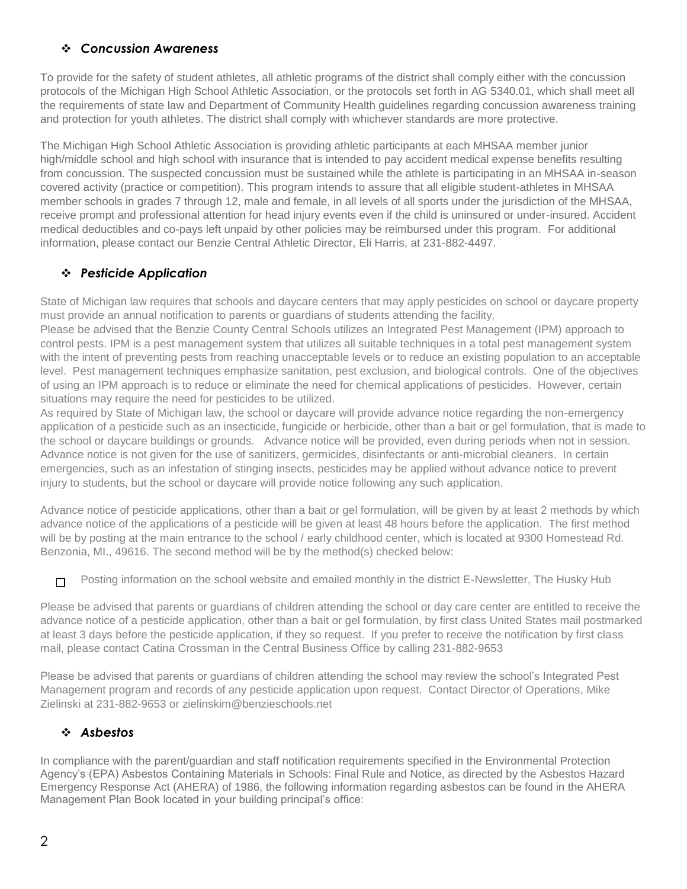## ❖ *Concussion Awareness*

To provide for the safety of student athletes, all athletic programs of the district shall comply either with the concussion protocols of the Michigan High School Athletic Association, or the protocols set forth in AG 5340.01, which shall meet all the requirements of state law and Department of Community Health guidelines regarding concussion awareness training and protection for youth athletes. The district shall comply with whichever standards are more protective.

The Michigan High School Athletic Association is providing athletic participants at each MHSAA member junior high/middle school and high school with insurance that is intended to pay accident medical expense benefits resulting from concussion. The suspected concussion must be sustained while the athlete is participating in an MHSAA in-season covered activity (practice or competition). This program intends to assure that all eligible student-athletes in MHSAA member schools in grades 7 through 12, male and female, in all levels of all sports under the jurisdiction of the MHSAA, receive prompt and professional attention for head injury events even if the child is uninsured or under-insured. Accident medical deductibles and co-pays left unpaid by other policies may be reimbursed under this program. For additional information, please contact our Benzie Central Athletic Director, Eli Harris, at 231-882-4497.

## ❖ *Pesticide Application*

State of Michigan law requires that schools and daycare centers that may apply pesticides on school or daycare property must provide an annual notification to parents or guardians of students attending the facility.

Please be advised that the Benzie County Central Schools utilizes an Integrated Pest Management (IPM) approach to control pests. IPM is a pest management system that utilizes all suitable techniques in a total pest management system with the intent of preventing pests from reaching unacceptable levels or to reduce an existing population to an acceptable level. Pest management techniques emphasize sanitation, pest exclusion, and biological controls. One of the objectives of using an IPM approach is to reduce or eliminate the need for chemical applications of pesticides. However, certain situations may require the need for pesticides to be utilized.

As required by State of Michigan law, the school or daycare will provide advance notice regarding the non-emergency application of a pesticide such as an insecticide, fungicide or herbicide, other than a bait or gel formulation, that is made to the school or daycare buildings or grounds. Advance notice will be provided, even during periods when not in session. Advance notice is not given for the use of sanitizers, germicides, disinfectants or anti-microbial cleaners. In certain emergencies, such as an infestation of stinging insects, pesticides may be applied without advance notice to prevent injury to students, but the school or daycare will provide notice following any such application.

Advance notice of pesticide applications, other than a bait or gel formulation, will be given by at least 2 methods by which advance notice of the applications of a pesticide will be given at least 48 hours before the application. The first method will be by posting at the main entrance to the school / early childhood center, which is located at 9300 Homestead Rd. Benzonia, MI., 49616. The second method will be by the method(s) checked below:

Posting information on the school website and emailed monthly in the district E-Newsletter, The Husky Hub  $\Box$ 

Please be advised that parents or guardians of children attending the school or day care center are entitled to receive the advance notice of a pesticide application, other than a bait or gel formulation, by first class United States mail postmarked at least 3 days before the pesticide application, if they so request. If you prefer to receive the notification by first class mail, please contact Catina Crossman in the Central Business Office by calling 231-882-9653

Please be advised that parents or guardians of children attending the school may review the school's Integrated Pest Management program and records of any pesticide application upon request. Contact Director of Operations, Mike Zielinski at 231-882-9653 or zielinskim@benzieschools.net

## ❖ *Asbestos*

In compliance with the parent/guardian and staff notification requirements specified in the Environmental Protection Agency's (EPA) Asbestos Containing Materials in Schools: Final Rule and Notice, as directed by the Asbestos Hazard Emergency Response Act (AHERA) of 1986, the following information regarding asbestos can be found in the AHERA Management Plan Book located in your building principal's office: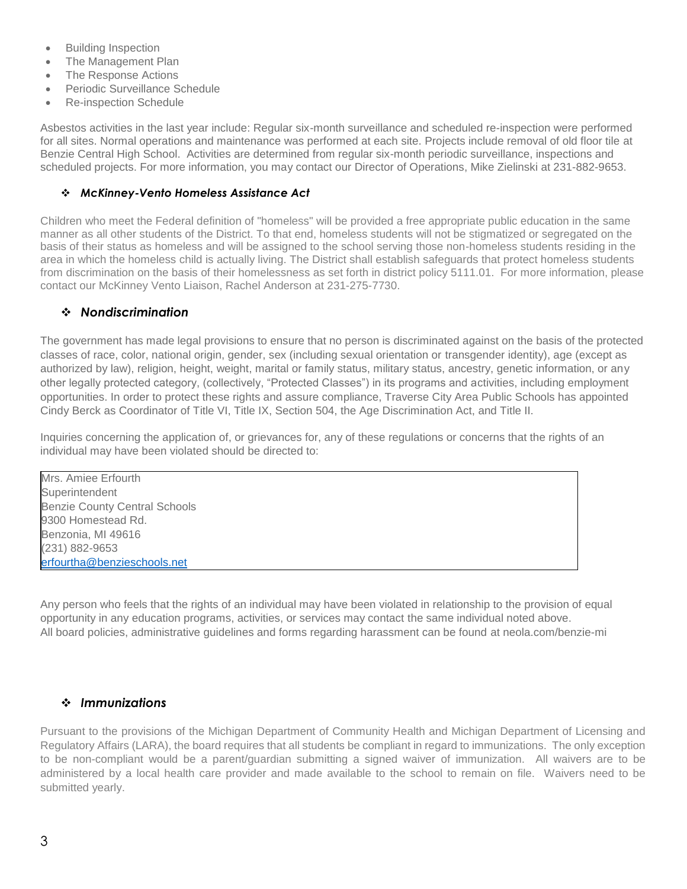- Building Inspection
- The Management Plan
- The Response Actions
- Periodic Surveillance Schedule
- Re-inspection Schedule

Asbestos activities in the last year include: Regular six-month surveillance and scheduled re-inspection were performed for all sites. Normal operations and maintenance was performed at each site. Projects include removal of old floor tile at Benzie Central High School. Activities are determined from regular six-month periodic surveillance, inspections and scheduled projects. For more information, you may contact our Director of Operations, Mike Zielinski at 231-882-9653.

#### ❖ *McKinney-Vento Homeless Assistance Act*

Children who meet the Federal definition of "homeless" will be provided a free appropriate public education in the same manner as all other students of the District. To that end, homeless students will not be stigmatized or segregated on the basis of their status as homeless and will be assigned to the school serving those non-homeless students residing in the area in which the homeless child is actually living. The District shall establish safeguards that protect homeless students from discrimination on the basis of their homelessness as set forth in district policy 5111.01. For more information, please contact our McKinney Vento Liaison, Rachel Anderson at 231-275-7730.

#### ❖ *Nondiscrimination*

The government has made legal provisions to ensure that no person is discriminated against on the basis of the protected classes of race, color, national origin, gender, sex (including sexual orientation or transgender identity), age (except as authorized by law), religion, height, weight, marital or family status, military status, ancestry, genetic information, or any other legally protected category, (collectively, "Protected Classes") in its programs and activities, including employment opportunities. In order to protect these rights and assure compliance, Traverse City Area Public Schools has appointed Cindy Berck as Coordinator of Title VI, Title IX, Section 504, the Age Discrimination Act, and Title II.

Inquiries concerning the application of, or grievances for, any of these regulations or concerns that the rights of an individual may have been violated should be directed to:

Mrs. Amiee Erfourth **Superintendent** Benzie County Central Schools 9300 Homestead Rd. Benzonia, MI 49616 (231) 882-9653 [erfourtha@benzieschools.net](mailto:clasend@benzieschools.net)

Any person who feels that the rights of an individual may have been violated in relationship to the provision of equal opportunity in any education programs, activities, or services may contact the same individual noted above. All board policies, administrative guidelines and forms regarding harassment can be found at neola.com/benzie-mi

### ❖ *Immunizations*

Pursuant to the provisions of the Michigan Department of Community Health and Michigan Department of Licensing and Regulatory Affairs (LARA), the board requires that all students be compliant in regard to immunizations. The only exception to be non-compliant would be a parent/guardian submitting a signed waiver of immunization. All waivers are to be administered by a local health care provider and made available to the school to remain on file. Waivers need to be submitted yearly.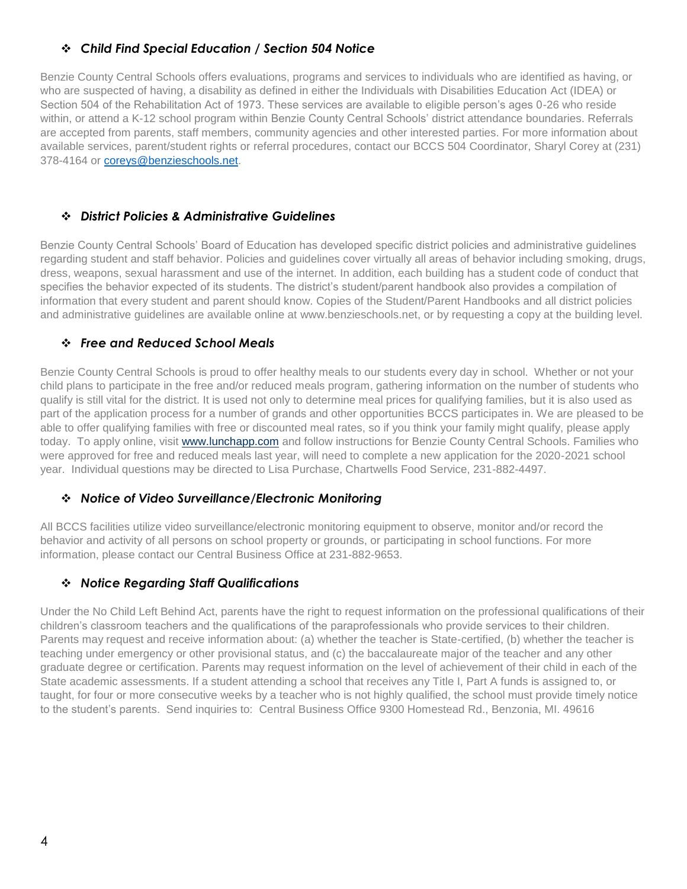## ❖ *Child Find Special Education / Section 504 Notice*

Benzie County Central Schools offers evaluations, programs and services to individuals who are identified as having, or who are suspected of having, a disability as defined in either the Individuals with Disabilities Education Act (IDEA) or Section 504 of the Rehabilitation Act of 1973. These services are available to eligible person's ages 0-26 who reside within, or attend a K-12 school program within Benzie County Central Schools' district attendance boundaries. Referrals are accepted from parents, staff members, community agencies and other interested parties. For more information about available services, parent/student rights or referral procedures, contact our BCCS 504 Coordinator, Sharyl Corey at (231) 378-4164 or [coreys@benzieschools.net.](mailto:coreys@benzieschools.net)

#### ❖ *District Policies & Administrative Guidelines*

Benzie County Central Schools' Board of Education has developed specific district policies and administrative guidelines regarding student and staff behavior. Policies and guidelines cover virtually all areas of behavior including smoking, drugs, dress, weapons, sexual harassment and use of the internet. In addition, each building has a student code of conduct that specifies the behavior expected of its students. The district's student/parent handbook also provides a compilation of information that every student and parent should know. Copies of the Student/Parent Handbooks and all district policies and administrative guidelines are available online at www.benzieschools.net, or by requesting a copy at the building level.

#### ❖ *Free and Reduced School Meals*

Benzie County Central Schools is proud to offer healthy meals to our students every day in school. Whether or not your child plans to participate in the free and/or reduced meals program, gathering information on the number of students who qualify is still vital for the district. It is used not only to determine meal prices for qualifying families, but it is also used as part of the application process for a number of grands and other opportunities BCCS participates in. We are pleased to be able to offer qualifying families with free or discounted meal rates, so if you think your family might qualify, please apply today. To apply online, visit [www.lunchapp.com](http://www.lunchapp.com/) and follow instructions for Benzie County Central Schools. Families who were approved for free and reduced meals last year, will need to complete a new application for the 2020-2021 school year. Individual questions may be directed to Lisa Purchase, Chartwells Food Service, 231-882-4497.

#### ❖ *Notice of Video Surveillance/Electronic Monitoring*

All BCCS facilities utilize video surveillance/electronic monitoring equipment to observe, monitor and/or record the behavior and activity of all persons on school property or grounds, or participating in school functions. For more information, please contact our Central Business Office at 231-882-9653.

### ❖ *Notice Regarding Staff Qualifications*

Under the No Child Left Behind Act, parents have the right to request information on the professional qualifications of their children's classroom teachers and the qualifications of the paraprofessionals who provide services to their children. Parents may request and receive information about: (a) whether the teacher is State-certified, (b) whether the teacher is teaching under emergency or other provisional status, and (c) the baccalaureate major of the teacher and any other graduate degree or certification. Parents may request information on the level of achievement of their child in each of the State academic assessments. If a student attending a school that receives any Title I, Part A funds is assigned to, or taught, for four or more consecutive weeks by a teacher who is not highly qualified, the school must provide timely notice to the student's parents. Send inquiries to: Central Business Office 9300 Homestead Rd., Benzonia, MI. 49616